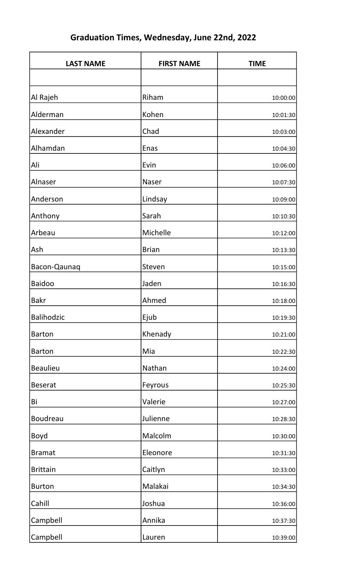| <b>LAST NAME</b>  | <b>FIRST NAME</b> | <b>TIME</b> |
|-------------------|-------------------|-------------|
|                   |                   |             |
| Al Rajeh          | Riham             | 10:00:00    |
| Alderman          | Kohen             | 10:01:30    |
| Alexander         | Chad              | 10:03:00    |
| Alhamdan          | <b>Enas</b>       | 10:04:30    |
| Ali               | Evin              | 10:06:00    |
| Alnaser           | <b>Naser</b>      | 10:07:30    |
| Anderson          | Lindsay           | 10:09:00    |
| Anthony           | Sarah             | 10:10:30    |
| Arbeau            | Michelle          | 10:12:00    |
| Ash               | <b>Brian</b>      | 10:13:30    |
| Bacon-Qaunaq      | Steven            | 10:15:00    |
| <b>Baidoo</b>     | Jaden             | 10:16:30    |
| <b>Bakr</b>       | Ahmed             | 10:18:00    |
| <b>Balihodzic</b> | Ejub              | 10:19:30    |
| <b>Barton</b>     | Khenady           | 10:21:00    |
| <b>Barton</b>     | Mia               | 10:22:30    |
| <b>Beaulieu</b>   | Nathan            | 10:24:00    |
| <b>Beserat</b>    | Feyrous           | 10:25:30    |
| Bi                | Valerie           | 10:27:00    |
| <b>Boudreau</b>   | Julienne          | 10:28:30    |
| <b>Boyd</b>       | Malcolm           | 10:30:00    |
| <b>Bramat</b>     | Eleonore          | 10:31:30    |
| <b>Brittain</b>   | Caitlyn           | 10:33:00    |
| <b>Burton</b>     | Malakai           | 10:34:30    |
| Cahill            | Joshua            | 10:36:00    |
| Campbell          | Annika            | 10:37:30    |
| Campbell          | Lauren            | 10:39:00    |

## Graduation Times, Wednesday, June 22nd, 2022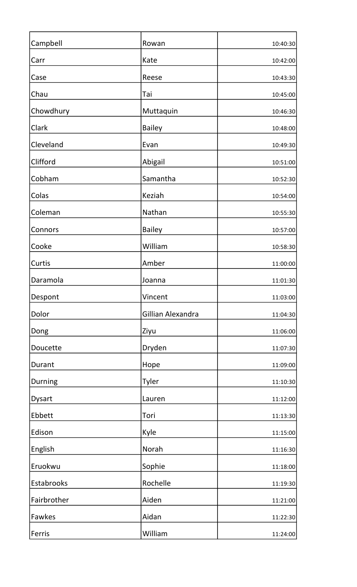| Campbell      | Rowan             | 10:40:30 |
|---------------|-------------------|----------|
| Carr          | Kate              | 10:42:00 |
| Case          | Reese             | 10:43:30 |
| Chau          | Tai               | 10:45:00 |
| Chowdhury     | Muttaquin         | 10:46:30 |
| Clark         | <b>Bailey</b>     | 10:48:00 |
| Cleveland     | Evan              | 10:49:30 |
| Clifford      | Abigail           | 10:51:00 |
| Cobham        | Samantha          | 10:52:30 |
| Colas         | Keziah            | 10:54:00 |
| Coleman       | Nathan            | 10:55:30 |
| Connors       | <b>Bailey</b>     | 10:57:00 |
| Cooke         | William           | 10:58:30 |
| Curtis        | Amber             | 11:00:00 |
| Daramola      | Joanna            | 11:01:30 |
| Despont       | Vincent           | 11:03:00 |
| Dolor         | Gillian Alexandra | 11:04:30 |
| Dong          | Ziyu              | 11:06:00 |
| Doucette      | Dryden            | 11:07:30 |
| Durant        | Hope              | 11:09:00 |
| Durning       | Tyler             | 11:10:30 |
| <b>Dysart</b> | Lauren            | 11:12:00 |
| Ebbett        | Tori              | 11:13:30 |
| Edison        | Kyle              | 11:15:00 |
| English       | Norah             | 11:16:30 |
| Eruokwu       | Sophie            | 11:18:00 |
| Estabrooks    | Rochelle          | 11:19:30 |
| Fairbrother   | Aiden             | 11:21:00 |
| Fawkes        | Aidan             | 11:22:30 |
| Ferris        | William           | 11:24:00 |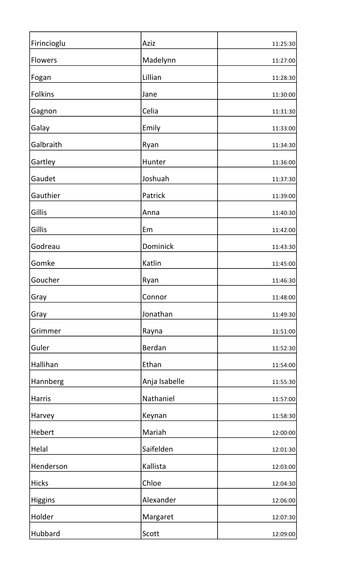| Firincioglu    | Aziz          | 11:25:30 |
|----------------|---------------|----------|
| <b>Flowers</b> | Madelynn      | 11:27:00 |
| Fogan          | Lillian       | 11:28:30 |
| <b>Folkins</b> | Jane          | 11:30:00 |
| Gagnon         | Celia         | 11:31:30 |
| Galay          | Emily         | 11:33:00 |
| Galbraith      | Ryan          | 11:34:30 |
| Gartley        | Hunter        | 11:36:00 |
| Gaudet         | Joshuah       | 11:37:30 |
| Gauthier       | Patrick       | 11:39:00 |
| Gillis         | Anna          | 11:40:30 |
| Gillis         | Em            | 11:42:00 |
| Godreau        | Dominick      | 11:43:30 |
| Gomke          | Katlin        | 11:45:00 |
| Goucher        | Ryan          | 11:46:30 |
| Gray           | Connor        | 11:48:00 |
| Gray           | Jonathan      | 11:49:30 |
| Grimmer        | Rayna         | 11:51:00 |
| Guler          | Berdan        | 11:52:30 |
| Hallihan       | Ethan         | 11:54:00 |
| Hannberg       | Anja Isabelle | 11:55:30 |
| <b>Harris</b>  | Nathaniel     | 11:57:00 |
| Harvey         | Keynan        | 11:58:30 |
| Hebert         | Mariah        | 12:00:00 |
| Helal          | Saifelden     | 12:01:30 |
| Henderson      | Kallista      | 12:03:00 |
| <b>Hicks</b>   | Chloe         | 12:04:30 |
| <b>Higgins</b> | Alexander     | 12:06:00 |
| Holder         | Margaret      | 12:07:30 |
| Hubbard        | Scott         | 12:09:00 |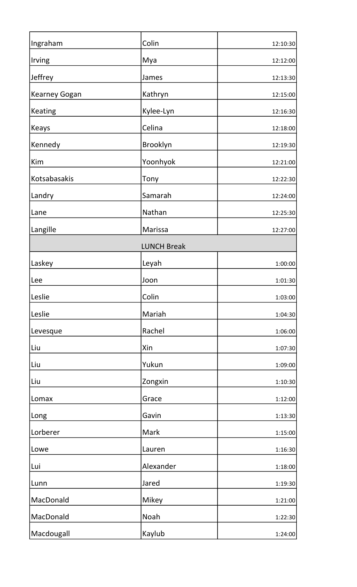| Ingraham             | Colin              | 12:10:30 |
|----------------------|--------------------|----------|
| Irving               | Mya                | 12:12:00 |
| Jeffrey              | James              | 12:13:30 |
| <b>Kearney Gogan</b> | Kathryn            | 12:15:00 |
| <b>Keating</b>       | Kylee-Lyn          | 12:16:30 |
| Keays                | Celina             | 12:18:00 |
| Kennedy              | Brooklyn           | 12:19:30 |
| Kim                  | Yoonhyok           | 12:21:00 |
| Kotsabasakis         | Tony               | 12:22:30 |
| Landry               | Samarah            | 12:24:00 |
| Lane                 | Nathan             | 12:25:30 |
| Langille             | Marissa            | 12:27:00 |
|                      | <b>LUNCH Break</b> |          |
| Laskey               | Leyah              | 1:00:00  |
| Lee                  | Joon               | 1:01:30  |
| Leslie               | Colin              | 1:03:00  |
| Leslie               | Mariah             | 1:04:30  |
| Levesque             | Rachel             | 1:06:00  |
| Liu                  | Xin                | 1:07:30  |
| Liu                  | Yukun              | 1:09:00  |
| Liu                  | Zongxin            | 1:10:30  |
| Lomax                | Grace              | 1:12:00  |
| Long                 | Gavin              | 1:13:30  |
| Lorberer             | Mark               | 1:15:00  |
| Lowe                 | Lauren             | 1:16:30  |
| Lui                  | Alexander          | 1:18:00  |
| Lunn                 | Jared              | 1:19:30  |
| MacDonald            | Mikey              | 1:21:00  |
| MacDonald            | Noah               | 1:22:30  |
| Macdougall           | Kaylub             | 1:24:00  |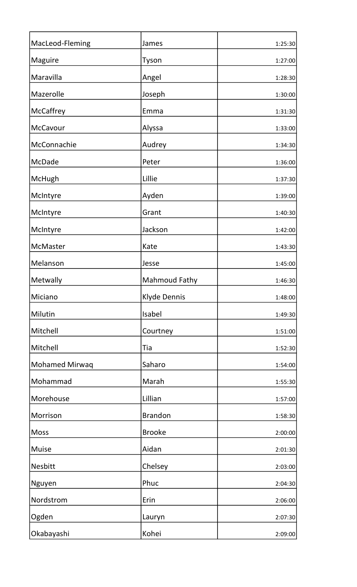| MacLeod-Fleming       | James                | 1:25:30 |
|-----------------------|----------------------|---------|
| Maguire               | Tyson                | 1:27:00 |
| Maravilla             | Angel                | 1:28:30 |
| Mazerolle             | Joseph               | 1:30:00 |
| McCaffrey             | Emma                 | 1:31:30 |
| McCavour              | Alyssa               | 1:33:00 |
| McConnachie           | Audrey               | 1:34:30 |
| <b>McDade</b>         | Peter                | 1:36:00 |
| McHugh                | Lillie               | 1:37:30 |
| McIntyre              | Ayden                | 1:39:00 |
| McIntyre              | Grant                | 1:40:30 |
| McIntyre              | Jackson              | 1:42:00 |
| McMaster              | Kate                 | 1:43:30 |
| Melanson              | Jesse                | 1:45:00 |
| Metwally              | <b>Mahmoud Fathy</b> | 1:46:30 |
| Miciano               | Klyde Dennis         | 1:48:00 |
| Milutin               | Isabel               | 1:49:30 |
| Mitchell              | Courtney             | 1:51:00 |
| Mitchell              | Tia                  | 1:52:30 |
| <b>Mohamed Mirwaq</b> | Saharo               | 1:54:00 |
| Mohammad              | Marah                | 1:55:30 |
| Morehouse             | Lillian              | 1:57:00 |
| Morrison              | <b>Brandon</b>       | 1:58:30 |
| <b>Moss</b>           | <b>Brooke</b>        | 2:00:00 |
| <b>Muise</b>          | Aidan                | 2:01:30 |
| <b>Nesbitt</b>        | Chelsey              | 2:03:00 |
| Nguyen                | Phuc                 | 2:04:30 |
| Nordstrom             | Erin                 | 2:06:00 |
| Ogden                 | Lauryn               | 2:07:30 |
| Okabayashi            | Kohei                | 2:09:00 |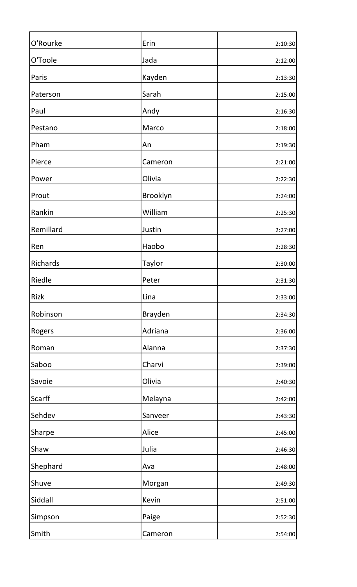| O'Rourke      | Erin          | 2:10:30 |
|---------------|---------------|---------|
| O'Toole       | Jada          | 2:12:00 |
| Paris         | Kayden        | 2:13:30 |
| Paterson      | Sarah         | 2:15:00 |
| Paul          | Andy          | 2:16:30 |
| Pestano       | Marco         | 2:18:00 |
| Pham          | An            | 2:19:30 |
| Pierce        | Cameron       | 2:21:00 |
| Power         | Olivia        | 2:22:30 |
| Prout         | Brooklyn      | 2:24:00 |
| Rankin        | William       | 2:25:30 |
| Remillard     | Justin        | 2:27:00 |
| Ren           | Haobo         | 2:28:30 |
| Richards      | <b>Taylor</b> | 2:30:00 |
| <b>Riedle</b> | Peter         | 2:31:30 |
| <b>Rizk</b>   | Lina          | 2:33:00 |
| Robinson      | Brayden       | 2:34:30 |
| Rogers        | Adriana       | 2:36:00 |
| Roman         | Alanna        | 2:37:30 |
| Saboo         | Charvi        | 2:39:00 |
| Savoie        | Olivia        | 2:40:30 |
| <b>Scarff</b> | Melayna       | 2:42:00 |
| Sehdev        | Sanveer       | 2:43:30 |
| Sharpe        | Alice         | 2:45:00 |
| Shaw          | Julia         | 2:46:30 |
| Shephard      | Ava           | 2:48:00 |
| Shuve         | Morgan        | 2:49:30 |
| Siddall       | Kevin         | 2:51:00 |
| Simpson       | Paige         | 2:52:30 |
| Smith         | Cameron       | 2:54:00 |